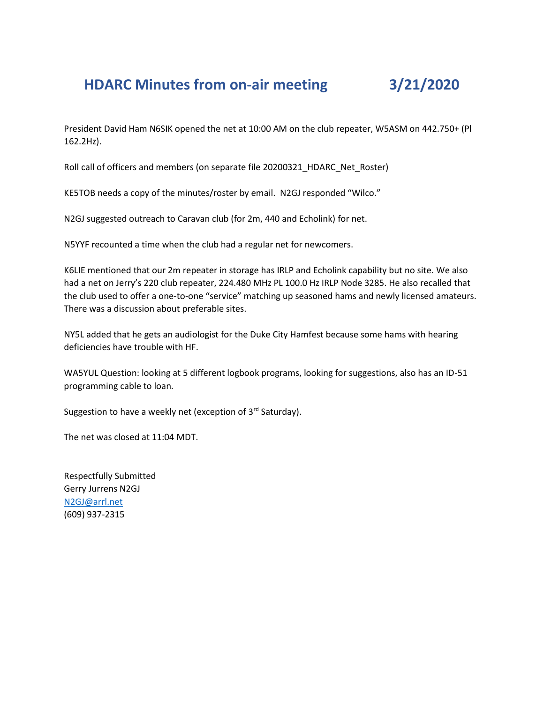## **HDARC Minutes from on-air meeting 3/21/2020**

President David Ham N6SIK opened the net at 10:00 AM on the club repeater, W5ASM on 442.750+ (Pl 162.2Hz).

Roll call of officers and members (on separate file 20200321\_HDARC\_Net\_Roster)

KE5TOB needs a copy of the minutes/roster by email. N2GJ responded "Wilco."

N2GJ suggested outreach to Caravan club (for 2m, 440 and Echolink) for net.

N5YYF recounted a time when the club had a regular net for newcomers.

K6LIE mentioned that our 2m repeater in storage has IRLP and Echolink capability but no site. We also had a net on Jerry's 220 club repeater, 224.480 MHz PL 100.0 Hz IRLP Node 3285. He also recalled that the club used to offer a one-to-one "service" matching up seasoned hams and newly licensed amateurs. There was a discussion about preferable sites.

NY5L added that he gets an audiologist for the Duke City Hamfest because some hams with hearing deficiencies have trouble with HF.

WA5YUL Question: looking at 5 different logbook programs, looking for suggestions, also has an ID-51 programming cable to loan.

Suggestion to have a weekly net (exception of 3rd Saturday).

The net was closed at 11:04 MDT.

Respectfully Submitted Gerry Jurrens N2GJ [N2GJ@arrl.net](mailto:N2GJ@arrl.net) (609) 937-2315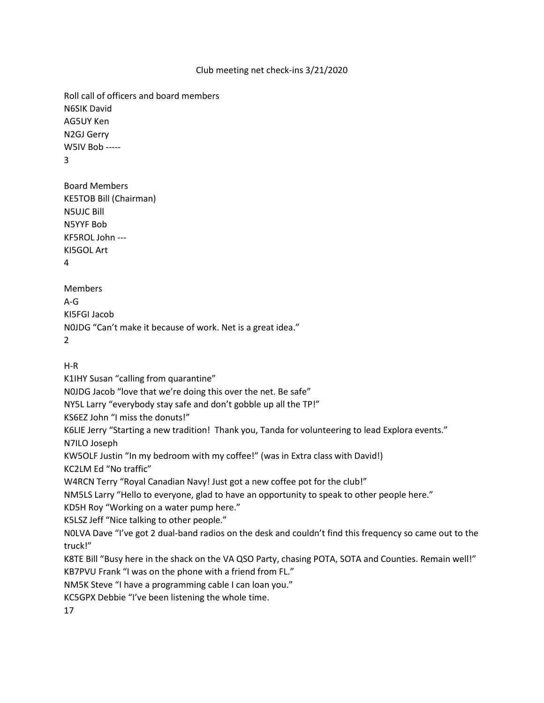## Club meeting net check-ins 3/21/2020

Roll call of officers and board members N6SIK David AG5UY Ken N2GJ Gerry W5IV Bob ----- 3

Board Members KE5TOB Bill (Chairman) N5UJC Bill N5YYF Bob KF5ROL John --- KI5GOL Art 4

Members A-G KI5FGI Jacob N0JDG "Can't make it because of work. Net is a great idea." 2

H-R

K1IHY Susan "calling from quarantine"

N0JDG Jacob "love that we're doing this over the net. Be safe"

NY5L Larry "everybody stay safe and don't gobble up all the TP!"

KS6EZ John "I miss the donuts!"

K6LIE Jerry "Starting a new tradition! Thank you, Tanda for volunteering to lead Explora events."

N7ILO Joseph

KW5OLF Justin "In my bedroom with my coffee!" (was in Extra class with David!)

KC2LM Ed "No traffic"

W4RCN Terry "Royal Canadian Navy! Just got a new coffee pot for the club!"

NM5LS Larry "Hello to everyone, glad to have an opportunity to speak to other people here."

KD5H Roy "Working on a water pump here."

K5LSZ Jeff "Nice talking to other people."

N0LVA Dave "I've got 2 dual-band radios on the desk and couldn't find this frequency so came out to the truck!"

K8TE Bill "Busy here in the shack on the VA QSO Party, chasing POTA, SOTA and Counties. Remain well!" KB7PVU Frank "I was on the phone with a friend from FL."

NM5K Steve "I have a programming cable I can loan you."

KC5GPX Debbie "I've been listening the whole time.

17